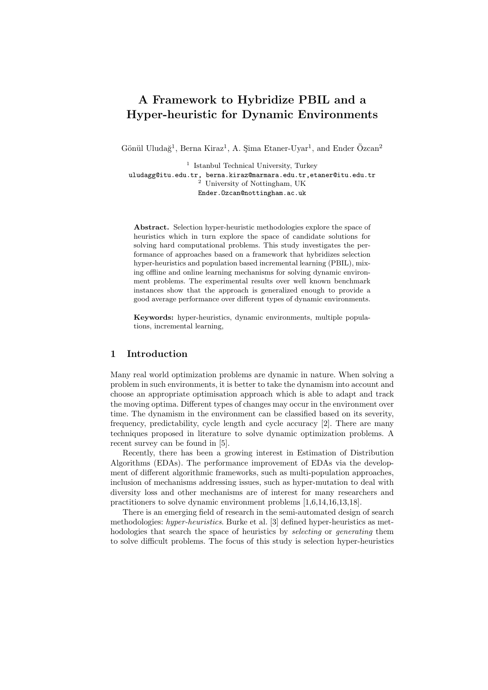# **A Framework to Hybridize PBIL and a Hyper-heuristic for Dynamic Environments**

Gönül Uludağ<sup>1</sup>, Berna Kiraz<sup>1</sup>, A. Şima Etaner-Uyar<sup>1</sup>, and Ender Özcan<sup>2</sup>

<sup>1</sup> Istanbul Technical University, Turkey uludagg@itu.edu.tr, berna.kiraz@marmara.edu.tr,etaner@itu.edu.tr <sup>2</sup> University of Nottingham, UK Ender.Ozcan@nottingham.ac.uk

**Abstract.** Selection hyper-heuristic methodologies explore the space of heuristics which in turn explore the space of candidate solutions for solving hard computational problems. This study investigates the performance of approaches based on a framework that hybridizes selection hyper-heuristics and population based incremental learning (PBIL), mixing offline and online learning mechanisms for solving dynamic environment problems. The experimental results over well known benchmark instances show that the approach is generalized enough to provide a good average performance over different types of dynamic environments.

**Keywords:** hyper-heuristics, dynamic environments, multiple populations, incremental learning,

# **1 Introduction**

Many real world optimization problems are dynamic in nature. When solving a problem in such environments, it is better to take the dynamism into account and choose an appropriate optimisation approach which is able to adapt and track the moving optima. Different types of changes may occur in the environment over time. The dynamism in the environment can be classified based on its severity, frequency, predictability, cycle length and cycle accuracy [2]. There are many techniques proposed in literature to solve dynamic optimization problems. A recent survey can be found in [5].

Recently, there has been a growing interest in Estimation of Distribution Algorithms (EDAs). The performance improvement of EDAs via the development of different algorithmic frameworks, such as multi-population approaches, inclusion of mechanisms addressing issues, such as hyper-mutation to deal with diversity loss and other mechanisms are of interest for many researchers and practitioners to solve dynamic environment problems [1,6,14,16,13,18].

There is an emerging field of research in the semi-automated design of search methodologies: *hyper-heuristics*. Burke et al. [3] defined hyper-heuristics as methodologies that search the space of heuristics by *selecting* or *generating* them to solve difficult problems. The focus of this study is selection hyper-heuristics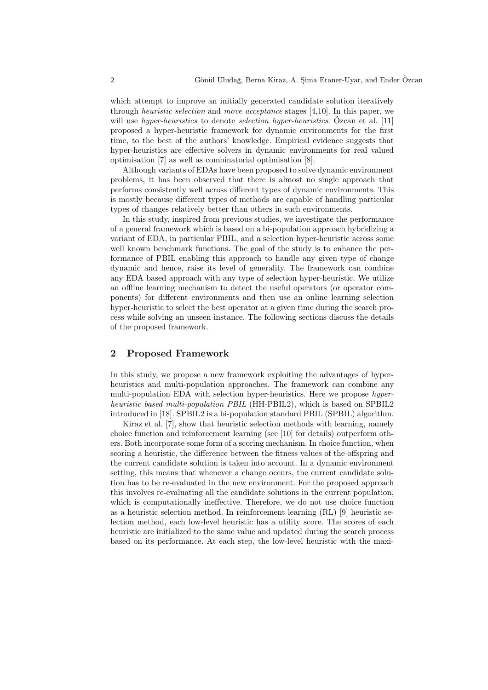which attempt to improve an initially generated candidate solution iteratively through *heuristic selection* and *move acceptance* stages [4,10]. In this paper, we will use *hyper-heuristics* to denote *selection hyper-heuristics*. Ozcan et al. [11] proposed a hyper-heuristic framework for dynamic environments for the first time, to the best of the authors' knowledge. Empirical evidence suggests that hyper-heuristics are effective solvers in dynamic environments for real valued optimisation [7] as well as combinatorial optimisation [8].

Although variants of EDAs have been proposed to solve dynamic environment problems, it has been observed that there is almost no single approach that performs consistently well across different types of dynamic environments. This is mostly because different types of methods are capable of handling particular types of changes relatively better than others in such environments.

In this study, inspired from previous studies, we investigate the performance of a general framework which is based on a bi-population approach hybridizing a variant of EDA, in particular PBIL, and a selection hyper-heuristic across some well known benchmark functions. The goal of the study is to enhance the performance of PBIL enabling this approach to handle any given type of change dynamic and hence, raise its level of generality. The framework can combine any EDA based approach with any type of selection hyper-heuristic. We utilize an offline learning mechanism to detect the useful operators (or operator components) for different environments and then use an online learning selection hyper-heuristic to select the best operator at a given time during the search process while solving an unseen instance. The following sections discuss the details of the proposed framework.

## **2 Proposed Framework**

In this study, we propose a new framework exploiting the advantages of hyperheuristics and multi-population approaches. The framework can combine any multi-population EDA with selection hyper-heuristics. Here we propose *hyperheuristic based multi-population PBIL* (HH-PBIL2), which is based on SPBIL2 introduced in [18]. SPBIL2 is a bi-population standard PBIL (SPBIL) algorithm.

Kiraz et al. [7], show that heuristic selection methods with learning, namely choice function and reinforcement learning (see [10] for details) outperform others. Both incorporate some form of a scoring mechanism. In choice function, when scoring a heuristic, the difference between the fitness values of the offspring and the current candidate solution is taken into account. In a dynamic environment setting, this means that whenever a change occurs, the current candidate solution has to be re-evaluated in the new environment. For the proposed approach this involves re-evaluating all the candidate solutions in the current population, which is computationally ineffective. Therefore, we do not use choice function as a heuristic selection method. In reinforcement learning (RL) [9] heuristic selection method, each low-level heuristic has a utility score. The scores of each heuristic are initialized to the same value and updated during the search process based on its performance. At each step, the low-level heuristic with the maxi-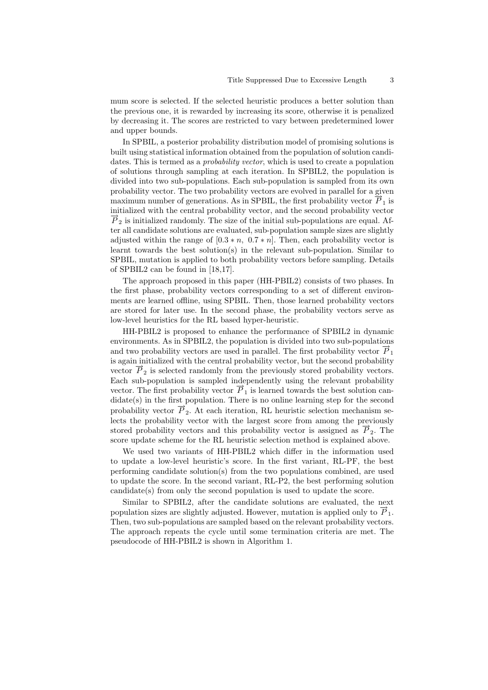mum score is selected. If the selected heuristic produces a better solution than the previous one, it is rewarded by increasing its score, otherwise it is penalized by decreasing it. The scores are restricted to vary between predetermined lower and upper bounds.

In SPBIL, a posterior probability distribution model of promising solutions is built using statistical information obtained from the population of solution candidates. This is termed as a *probability vector*, which is used to create a population of solutions through sampling at each iteration. In SPBIL2, the population is divided into two sub-populations. Each sub-population is sampled from its own probability vector. The two probability vectors are evolved in parallel for a given maximum number of generations. As in SPBIL, the first probability vector  $\overrightarrow{P}_1$  is initialized with the central probability vector, and the second probability vector  $\overline{P}_2$  is initialized randomly. The size of the initial sub-populations are equal. After all candidate solutions are evaluated, sub-population sample sizes are slightly adjusted within the range of  $[0.3 * n, 0.7 * n]$ . Then, each probability vector is learnt towards the best solution(s) in the relevant sub-population. Similar to SPBIL, mutation is applied to both probability vectors before sampling. Details of SPBIL2 can be found in [18,17].

The approach proposed in this paper (HH-PBIL2) consists of two phases. In the first phase, probability vectors corresponding to a set of different environments are learned offline, using SPBIL. Then, those learned probability vectors are stored for later use. In the second phase, the probability vectors serve as low-level heuristics for the RL based hyper-heuristic.

HH-PBIL2 is proposed to enhance the performance of SPBIL2 in dynamic environments. As in SPBIL2, the population is divided into two sub-populations and two probability vectors are used in parallel. The first probability vector  $P_1$ is again initialized with the central probability vector, but the second probability vector  $\overrightarrow{P}_2$  is selected randomly from the previously stored probability vectors. Each sub-population is sampled independently using the relevant probability vector. The first probability vector  $\overrightarrow{P}_1$  is learned towards the best solution candidate(s) in the first population. There is no online learning step for the second probability vector  $\vec{P}_2$ . At each iteration, RL heuristic selection mechanism selects the probability vector with the largest score from among the previously stored probability vectors and this probability vector is assigned as  $\overline{P}_2$ . The score update scheme for the RL heuristic selection method is explained above.

We used two variants of HH-PBIL2 which differ in the information used to update a low-level heuristic's score. In the first variant, RL-PF, the best performing candidate solution(s) from the two populations combined, are used to update the score. In the second variant, RL-P2, the best performing solution candidate(s) from only the second population is used to update the score.

Similar to SPBIL2, after the candidate solutions are evaluated, the next population sizes are slightly adjusted. However, mutation is applied only to  $\overline{P}_1$ . Then, two sub-populations are sampled based on the relevant probability vectors. The approach repeats the cycle until some termination criteria are met. The pseudocode of HH-PBIL2 is shown in Algorithm 1.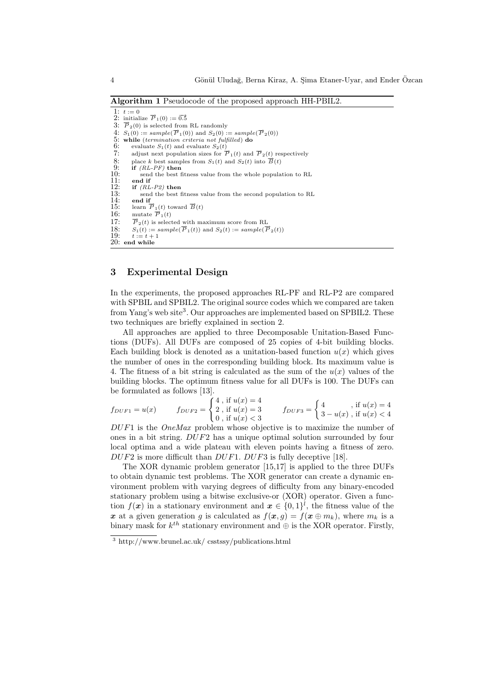**Algorithm 1** Pseudocode of the proposed approach HH-PBIL2.

1:  $t := 0$ 2: initialize  $\vec{P}_1(0) := 0.5$ 3:  $\vec{P}_2(0)$  is selected from RL randomly  $4: S_1(0) := sample(\overrightarrow{P}_1(0))$  and  $S_2(0) := sample(\overrightarrow{P}_2(0))$ 5: **while** (*termination criteria not fulfilled*) **do**<br>6: evaluate  $S_1(t)$  and evaluate  $S_2(t)$ 6: evaluate  $S_1(t)$  and evaluate  $S_2(t)$ <br>7: adjust next population sizes for  $\overline{I}$ 7: adjust next population sizes for  $\overrightarrow{P}_1(t)$  and  $\overrightarrow{P}_2(t)$  respectively<br>8: place *k* best samples from  $S_1(t)$  and  $S_2(t)$  into  $\overrightarrow{B}(t)$ <br>9: **if**  $(RL-PF)$  **then** 8: place *k* best samples from  $S_1(t)$  and  $S_2(t)$  into  $\vec{B}(t)$ <br>9: **if**  $(RL-PF)$  **then** 10: send the best fitness value from the whole population to RL<br>11: end if<br>12: if  $(RL-P2)$  then 11: **end if** 12: **if** *(RL-P2)* **then** 13: send the best fitness value from the second population to RL<br>14: end if 14: **end if**<br>15: **learn**  $\overline{I}$ 15: learn  $\vec{P}_1(t)$  toward  $\vec{B}(t)$ <br>16: mutate  $\vec{P}_1(t)$ mutate  $\vec{P}_1(t)$ 17:  $\vec{P}_2(t)$  is selected with maximum score from RL<br>18:  $S_1(t) := sample(\vec{P}_1(t))$  and  $S_2(t) := sample(\vec{P}_2(t))$ 18:  $S_1(t) := sample(\overrightarrow{P}_1(t))$  and  $S_2(t) := sample(\overrightarrow{P}_2(t))$ 19:  $t := t + 1$ 20: **end while**

# **3 Experimental Design**

In the experiments, the proposed approaches RL-PF and RL-P2 are compared with SPBIL and SPBIL2. The original source codes which we compared are taken from Yang's web site<sup>3</sup>. Our approaches are implemented based on SPBIL2. These two techniques are briefly explained in section 2.

All approaches are applied to three Decomposable Unitation-Based Functions (DUFs). All DUFs are composed of 25 copies of 4-bit building blocks. Each building block is denoted as a unitation-based function  $u(x)$  which gives the number of ones in the corresponding building block. Its maximum value is 4. The fitness of a bit string is calculated as the sum of the  $u(x)$  values of the building blocks. The optimum fitness value for all DUFs is 100. The DUFs can be formulated as follows [13].

$$
f_{DUF1} = u(x) \qquad f_{DUF2} = \begin{cases} 4 \text{ , if } u(x) = 4 \\ 2 \text{ , if } u(x) = 3 \\ 0 \text{ , if } u(x) < 3 \end{cases} \qquad f_{DUF3} = \begin{cases} 4 \text{ , if } u(x) = 4 \\ 3 - u(x) \text{ , if } u(x) < 4 \end{cases}
$$

*DUF*1 is the *OneMax* problem whose objective is to maximize the number of ones in a bit string. *DUF*2 has a unique optimal solution surrounded by four local optima and a wide plateau with eleven points having a fitness of zero. *DUF*2 is more difficult than *DUF*1. *DUF*3 is fully deceptive [18].

The XOR dynamic problem generator [15,17] is applied to the three DUFs to obtain dynamic test problems. The XOR generator can create a dynamic environment problem with varying degrees of difficulty from any binary-encoded stationary problem using a bitwise exclusive-or (XOR) operator. Given a function  $f(x)$  in a stationary environment and  $x \in \{0,1\}^l$ , the fitness value of the x at a given generation *g* is calculated as  $f(x, g) = f(x \oplus m_k)$ , where  $m_k$  is a binary mask for *k th* stationary environment and *⊕* is the XOR operator. Firstly,

<sup>3</sup> http://www.brunel.ac.uk/ csstssy/publications.html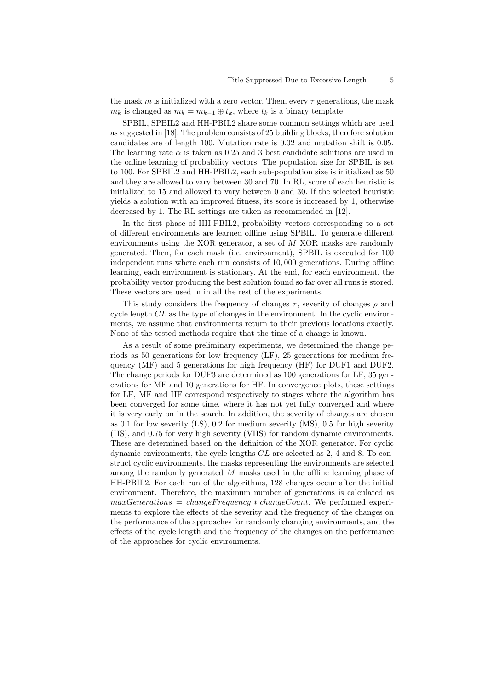the mask *m* is initialized with a zero vector. Then, every  $\tau$  generations, the mask *m*<sup>*k*</sup> is changed as  $m_k = m_{k-1} ⊕ t_k$ , where  $t_k$  is a binary template.

SPBIL, SPBIL2 and HH-PBIL2 share some common settings which are used as suggested in [18]. The problem consists of 25 building blocks, therefore solution candidates are of length 100. Mutation rate is 0*.*02 and mutation shift is 0*.*05. The learning rate  $\alpha$  is taken as 0.25 and 3 best candidate solutions are used in the online learning of probability vectors. The population size for SPBIL is set to 100. For SPBIL2 and HH-PBIL2, each sub-population size is initialized as 50 and they are allowed to vary between 30 and 70. In RL, score of each heuristic is initialized to 15 and allowed to vary between 0 and 30. If the selected heuristic yields a solution with an improved fitness, its score is increased by 1, otherwise decreased by 1. The RL settings are taken as recommended in [12].

In the first phase of HH-PBIL2, probability vectors corresponding to a set of different environments are learned offline using SPBIL. To generate different environments using the XOR generator, a set of *M* XOR masks are randomly generated. Then, for each mask (i.e. environment), SPBIL is executed for 100 independent runs where each run consists of 10*,* 000 generations. During offline learning, each environment is stationary. At the end, for each environment, the probability vector producing the best solution found so far over all runs is stored. These vectors are used in in all the rest of the experiments.

This study considers the frequency of changes *τ* , severity of changes *ρ* and cycle length *CL* as the type of changes in the environment. In the cyclic environments, we assume that environments return to their previous locations exactly. None of the tested methods require that the time of a change is known.

As a result of some preliminary experiments, we determined the change periods as 50 generations for low frequency (LF), 25 generations for medium frequency (MF) and 5 generations for high frequency (HF) for DUF1 and DUF2. The change periods for DUF3 are determined as 100 generations for LF, 35 generations for MF and 10 generations for HF. In convergence plots, these settings for LF, MF and HF correspond respectively to stages where the algorithm has been converged for some time, where it has not yet fully converged and where it is very early on in the search. In addition, the severity of changes are chosen as 0*.*1 for low severity (LS), 0*.*2 for medium severity (MS), 0*.*5 for high severity (HS), and 0*.*75 for very high severity (VHS) for random dynamic environments. These are determined based on the definition of the XOR generator. For cyclic dynamic environments, the cycle lengths *CL* are selected as 2, 4 and 8. To construct cyclic environments, the masks representing the environments are selected among the randomly generated *M* masks used in the offline learning phase of HH-PBIL2. For each run of the algorithms, 128 changes occur after the initial environment. Therefore, the maximum number of generations is calculated as *maxGenerations* = *changeF requency ∗ changeCount*. We performed experiments to explore the effects of the severity and the frequency of the changes on the performance of the approaches for randomly changing environments, and the effects of the cycle length and the frequency of the changes on the performance of the approaches for cyclic environments.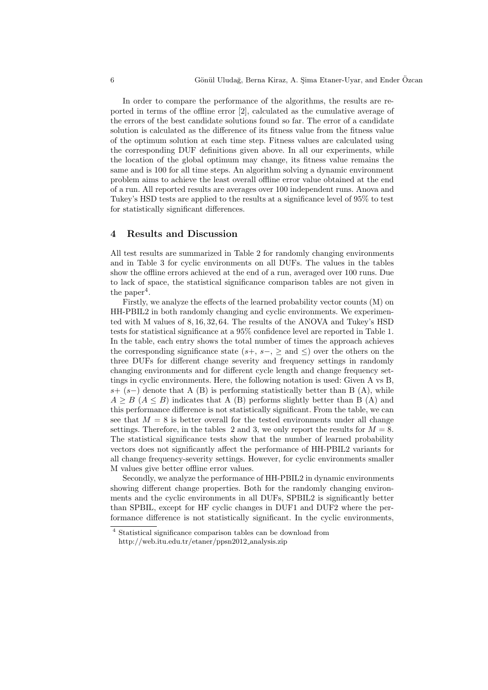In order to compare the performance of the algorithms, the results are reported in terms of the offline error [2], calculated as the cumulative average of the errors of the best candidate solutions found so far. The error of a candidate solution is calculated as the difference of its fitness value from the fitness value of the optimum solution at each time step. Fitness values are calculated using the corresponding DUF definitions given above. In all our experiments, while the location of the global optimum may change, its fitness value remains the same and is 100 for all time steps. An algorithm solving a dynamic environment problem aims to achieve the least overall offline error value obtained at the end of a run. All reported results are averages over 100 independent runs. Anova and Tukey's HSD tests are applied to the results at a significance level of 95% to test for statistically significant differences.

### **4 Results and Discussion**

All test results are summarized in Table 2 for randomly changing environments and in Table 3 for cyclic environments on all DUFs. The values in the tables show the offline errors achieved at the end of a run, averaged over 100 runs. Due to lack of space, the statistical significance comparison tables are not given in the paper<sup>4</sup>.

Firstly, we analyze the effects of the learned probability vector counts (M) on HH-PBIL2 in both randomly changing and cyclic environments. We experimented with M values of 8*,* 16*,* 32*,* 64. The results of the ANOVA and Tukey's HSD tests for statistical significance at a 95% confidence level are reported in Table 1. In the table, each entry shows the total number of times the approach achieves the corresponding significance state  $(s+, s-, \geq)$  over the others on the three DUFs for different change severity and frequency settings in randomly changing environments and for different cycle length and change frequency settings in cyclic environments. Here, the following notation is used: Given A vs B, *s*+ (*s−*) denote that A (B) is performing statistically better than B (A), while  $A \geq B$  ( $A \leq B$ ) indicates that A (B) performs slightly better than B (A) and this performance difference is not statistically significant. From the table, we can see that  $M = 8$  is better overall for the tested environments under all change settings. Therefore, in the tables 2 and 3, we only report the results for  $M = 8$ . The statistical significance tests show that the number of learned probability vectors does not significantly affect the performance of HH-PBIL2 variants for all change frequency-severity settings. However, for cyclic environments smaller M values give better offline error values.

Secondly, we analyze the performance of HH-PBIL2 in dynamic environments showing different change properties. Both for the randomly changing environments and the cyclic environments in all DUFs, SPBIL2 is significantly better than SPBIL, except for HF cyclic changes in DUF1 and DUF2 where the performance difference is not statistically significant. In the cyclic environments,

<sup>4</sup> Statistical significance comparison tables can be download from http://web.itu.edu.tr/etaner/ppsn2012 analysis.zip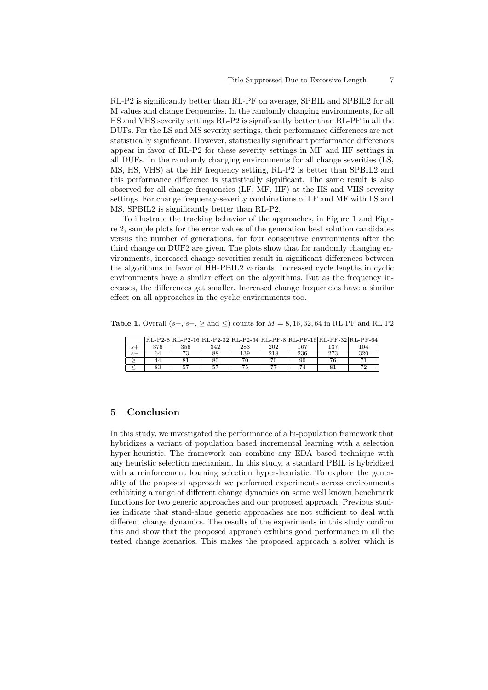RL-P2 is significantly better than RL-PF on average, SPBIL and SPBIL2 for all M values and change frequencies. In the randomly changing environments, for all HS and VHS severity settings RL-P2 is significantly better than RL-PF in all the DUFs. For the LS and MS severity settings, their performance differences are not statistically significant. However, statistically significant performance differences appear in favor of RL-P2 for these severity settings in MF and HF settings in all DUFs. In the randomly changing environments for all change severities (LS, MS, HS, VHS) at the HF frequency setting, RL-P2 is better than SPBIL2 and this performance difference is statistically significant. The same result is also observed for all change frequencies (LF, MF, HF) at the HS and VHS severity settings. For change frequency-severity combinations of LF and MF with LS and MS, SPBIL2 is significantly better than RL-P2.

To illustrate the tracking behavior of the approaches, in Figure 1 and Figure 2, sample plots for the error values of the generation best solution candidates versus the number of generations, for four consecutive environments after the third change on DUF2 are given. The plots show that for randomly changing environments, increased change severities result in significant differences between the algorithms in favor of HH-PBIL2 variants. Increased cycle lengths in cyclic environments have a similar effect on the algorithms. But as the frequency increases, the differences get smaller. Increased change frequencies have a similar effect on all approaches in the cyclic environments too.

**Table 1.** Overall (*s*+, *s−*, *≥* and *≤*) counts for *M* = 8*,* 16*,* 32*,* 64 in RL-PF and RL-P2

|      |     |     |     |     |     |     | RL-P2-8 RL-P2-16 RL-P2-32 RL-P2-64 RL-PF-8 RL-PF-16 RL-PF-32 RL-PF-64 |     |
|------|-----|-----|-----|-----|-----|-----|-----------------------------------------------------------------------|-----|
| $s+$ | 376 | 356 | 342 | 283 | 202 | 167 | 137                                                                   | 104 |
| $s-$ | 64  | 73  | 88  | 139 | 218 | 236 | 273                                                                   | 320 |
|      | 44  |     | 80  |     |     | 90  |                                                                       |     |
|      | 83  | 57  | 57  |     | חד  | 74  |                                                                       | 70  |

#### **5 Conclusion**

In this study, we investigated the performance of a bi-population framework that hybridizes a variant of population based incremental learning with a selection hyper-heuristic. The framework can combine any EDA based technique with any heuristic selection mechanism. In this study, a standard PBIL is hybridized with a reinforcement learning selection hyper-heuristic. To explore the generality of the proposed approach we performed experiments across environments exhibiting a range of different change dynamics on some well known benchmark functions for two generic approaches and our proposed approach. Previous studies indicate that stand-alone generic approaches are not sufficient to deal with different change dynamics. The results of the experiments in this study confirm this and show that the proposed approach exhibits good performance in all the tested change scenarios. This makes the proposed approach a solver which is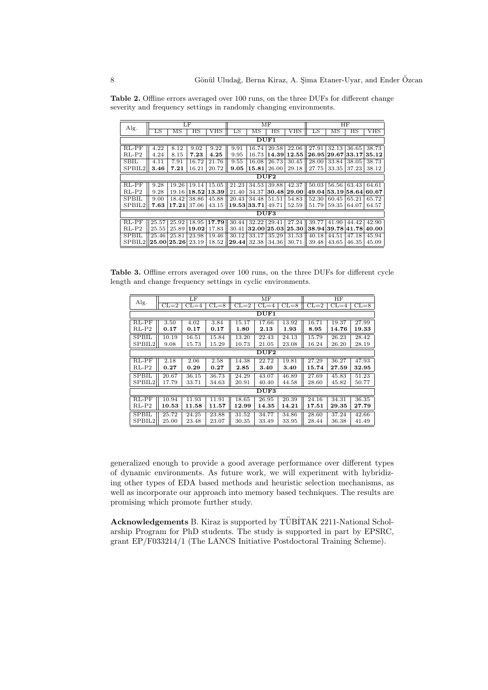| Alg.             | LF    |             |             |                               | $\overline{\text{MF}}$ |             |             |            | HF    |                           |                    |                    |
|------------------|-------|-------------|-------------|-------------------------------|------------------------|-------------|-------------|------------|-------|---------------------------|--------------------|--------------------|
|                  | LS    | МS          | $_{\rm HS}$ | VHS                           | LS                     | MS          | $_{\rm HS}$ | <b>VHS</b> | LS    | МS                        | $_{\rm HS}$        | VHS                |
| DUF1             |       |             |             |                               |                        |             |             |            |       |                           |                    |                    |
| $RL-PF$          | 4.22  | 8.12        | 9.02        | 9.22                          | 9.91                   | 16.74       | 20.58       | 22.06      | 27.91 | 32.13                     | 36.65              | 38.73              |
| $RL-P2$          | 4.24  | 8.15        | 7.23        | 4.25                          | 9.95                   | 16.73       | 14.39       | 12.55      | 26.95 | $\vert 29.67 \vert 33.17$ |                    | 35.12              |
| <b>SBIL</b>      | 4.11  | 7.91        | 16.72       | 21.76                         | 9.55                   | 16.08       | 26.73       | 30.45      | 28.00 | 33.84                     | 38.05              | 38.73              |
| SPBIL2           | 3.46  | 7.21        | 16.21       | 20.72                         | 9.05                   | 15.81       | 26.00       | 29.18      | 27.75 | 33.35                     | 37.23              | 38.12              |
| DUF2             |       |             |             |                               |                        |             |             |            |       |                           |                    |                    |
| $RL-PF$          | 9.28  | 19.26       | 19.14       | $15.05$                       | 21.23                  | 34.53       | 39.88       | 42.37      | 50.03 |                           | $56.56 \mid 63.43$ | $64.\overline{61}$ |
| $RL-P2$          | 9.28  | 19.16       |             | 18.52 13.39                   | 21.40                  | 34.37       | 30.48       | 29.00      |       |                           | 49.04 53.19 58.64  | 60.67              |
| <b>SPBIL</b>     | 9.00  | 18.42       | 38.86       | 45.88                         | 20.43                  | 34.48       | 51.51       | 54.83      | 52.30 | 60.45                     | 65.21              | 65.72              |
| SPBIL2           | 7.63  | 17.21       | 37.06       |                               | $43.15$   19.53 33.71  |             | 49.71       | 52.59      | 51.79 | 59.35                     | 64.07              | 64.57              |
| DUF <sub>3</sub> |       |             |             |                               |                        |             |             |            |       |                           |                    |                    |
| $RL-PF$          | 25.57 | 25.92       |             | $18.95 \mid 17.79 \mid 30.44$ |                        | 32.22       | 29.41       | 27.24      | 39.77 | 41.90                     | 44.42              | 42.90              |
| $RL-P2$          | 25.55 | 25.89       | 19.02       | 17.83                         | 30.41                  | 32.00 25.03 |             | 25.30      |       | 38.94 39.78 41.78         |                    | 40.00              |
| <b>SPBIL</b>     | 25.46 | 25.81       | 23.98       | 19.46                         | 30.12                  | 33.17       | 35.29       | 31.53      | 40.18 | 44.51                     | 47.18              | 45.94              |
| SPBIL2           |       | 25.00 25.26 | 23.19       | 18.52                         | 29.44                  | 32.38       | 34.36       | 30.71      | 39.48 | 43.65                     | 46.35              | 45.09              |

**Table 2.** Offline errors averaged over 100 runs, on the three DUFs for different change severity and frequency settings in randomly changing environments.

**Table 3.** Offline errors averaged over 100 runs, on the three DUFs for different cycle length and change frequency settings in cyclic environments.

| Alg.         |          | $_{\rm LF}$ |          |        | $\overline{\rm MF}$ |          | HF     |          |          |  |  |  |
|--------------|----------|-------------|----------|--------|---------------------|----------|--------|----------|----------|--|--|--|
|              | $CL = 2$ | $CL = 4$    | $CL = 8$ | $CL=2$ | $CL = 4$            | $CL = 8$ | $CL=2$ | $CL = 4$ | $CL = 8$ |  |  |  |
| DUF1         |          |             |          |        |                     |          |        |          |          |  |  |  |
| $RL-PF$      | 3.50     | 4.02        | 3.84     | 15.17  | 17.66               | 13.92    | 16.71  | 19.37    | 27.99    |  |  |  |
| $RL-P2$      | 0.17     | 0.17        | 0.17     | 1.80   | 2.13                | $1.93\,$ | 8.95   | 14.76    | 19.33    |  |  |  |
| SPBIL        | 10.19    | 16.51       | 15.84    | 13.20  | 22.43               | 24.13    | 15.79  | 26.23    | 28.42    |  |  |  |
| SPBIL2       | 9.08     | 15.73       | 15.29    | 10.73  | 21.05               | 23.08    | 16.24  | 26.20    | 28.19    |  |  |  |
| DUF2         |          |             |          |        |                     |          |        |          |          |  |  |  |
| $RL-PF$      | 2.18     | 2.06        | 2.58     | 14.38  | 22.72               | 19.81    | 27.29  | 36.27    | 47.93    |  |  |  |
| $RL-P2$      | 0.27     | 0.29        | 0.27     | 2.85   | 3.40                | 3.40     | 15.74  | 27.59    | 32.95    |  |  |  |
| <b>SPBIL</b> | 20.67    | 36.15       | 36.73    | 24.29  | 43.07               | 46.89    | 27.69  | 45.83    | 51.23    |  |  |  |
| SPBIL2       | 17.79    | 33.71       | 34.63    | 20.91  | 40.40               | 44.58    | 28.60  | 45.82    | 50.77    |  |  |  |
| DUF3         |          |             |          |        |                     |          |        |          |          |  |  |  |
| $RL-PF$      | 10.94    | 11.93       | 11.91    | 18.65  | 26.95               | 20.39    | 24.16  | 34.31    | 36.35    |  |  |  |
| $RL-P2$      | 10.53    | 11.58       | 11.57    | 12.99  | 14.35               | 14.21    | 17.51  | 29.35    | 27.79    |  |  |  |
| SPBIL        | 25.72    | 24.25       | 23.88    | 31.52  | 34.77               | 34.86    | 28.60  | 37.24    | 42.66    |  |  |  |
| SPBIL2       | 25.00    | 23.48       | 23.07    | 30.35  | 33.49               | 33.95    | 28.44  | 36.38    | 41.49    |  |  |  |

generalized enough to provide a good average performance over different types of dynamic environments. As future work, we will experiment with hybridizing other types of EDA based methods and heuristic selection mechanisms, as well as incorporate our approach into memory based techniques. The results are promising which promote further study.

**Acknowledgements** B. Kiraz is supported by TÜBİTAK 2211-National Scholarship Program for PhD students. The study is supported in part by EPSRC, grant EP/F033214/1 (The LANCS Initiative Postdoctoral Training Scheme).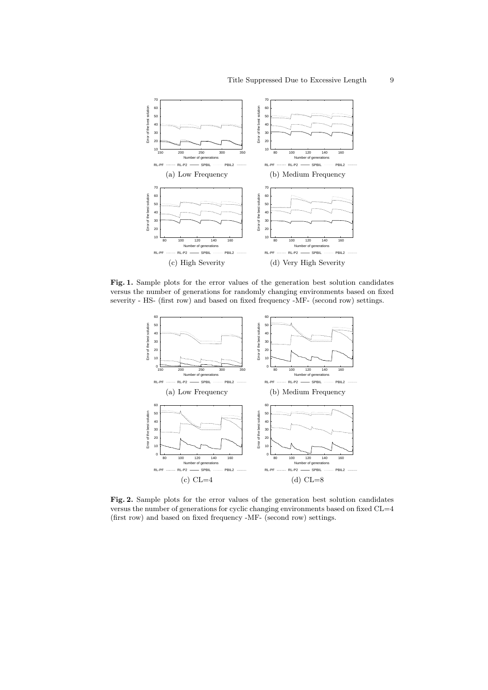

Fig. 1. Sample plots for the error values of the generation best solution candidates versus the number of generations for randomly changing environments based on fixed severity - HS- (first row) and based on fixed frequency -MF- (second row) settings.



**Fig. 2.** Sample plots for the error values of the generation best solution candidates versus the number of generations for cyclic changing environments based on fixed CL=4 (first row) and based on fixed frequency -MF- (second row) settings.